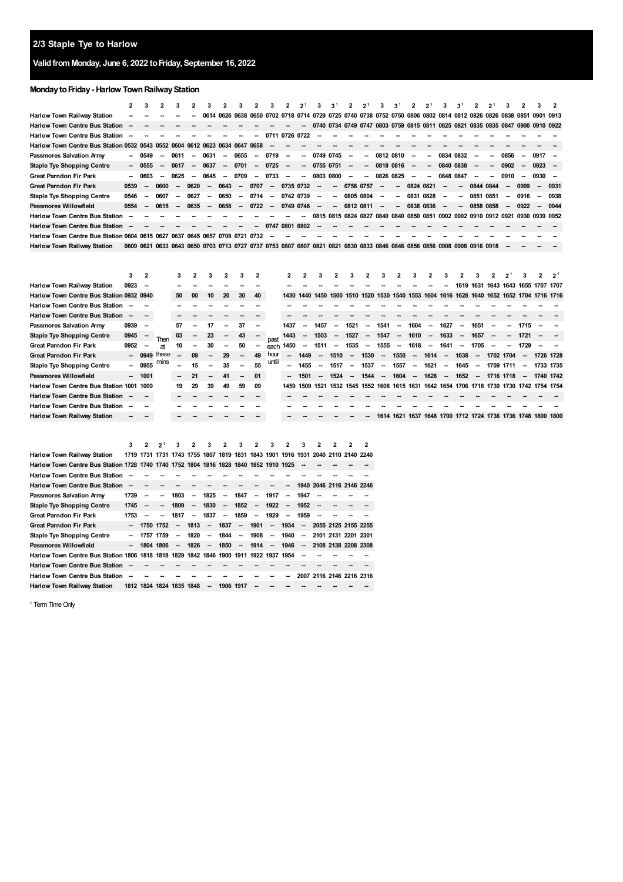## **ValidfromMonday, June 6, 2022 toFriday, September 16, 2022**

## **MondaytoFriday- Harlow TownRailwayStation**

|                                                                             |      | 3                                                                                                                       | 2                        |                          | 2      | 3                        |                          | 3                        |        | 3                                                                                                                  | 2                        | 2 <sup>1</sup>           | 3         | 3 <sup>1</sup> | $\mathbf{2}$             | 2 <sup>1</sup>           | 3                        | 3 <sup>1</sup>           |                          | 2 <sup>1</sup> | 3                                                                               | 3 <sup>1</sup>           | 2                        | 2 <sup>1</sup> | 3      | 2      |                          | 2    |
|-----------------------------------------------------------------------------|------|-------------------------------------------------------------------------------------------------------------------------|--------------------------|--------------------------|--------|--------------------------|--------------------------|--------------------------|--------|--------------------------------------------------------------------------------------------------------------------|--------------------------|--------------------------|-----------|----------------|--------------------------|--------------------------|--------------------------|--------------------------|--------------------------|----------------|---------------------------------------------------------------------------------|--------------------------|--------------------------|----------------|--------|--------|--------------------------|------|
| Harlow Town Railway Station                                                 |      |                                                                                                                         |                          |                          |        |                          |                          |                          |        | 0614 0626 0638 0650 0702 0718 0714 0729 0725 0740 0738 0752 0750 0806 0802 0814 0812 0826 0826 0838 0851 0901 0913 |                          |                          |           |                |                          |                          |                          |                          |                          |                |                                                                                 |                          |                          |                |        |        |                          |      |
| <b>Harlow Town Centre Bus Station</b>                                       |      |                                                                                                                         |                          |                          |        |                          |                          |                          |        |                                                                                                                    |                          |                          |           |                |                          |                          |                          |                          |                          |                | 0740 0734 0749 0747 0803 0759 0815 0811 0825 0821 0835 0835 0847 0900 0910 0922 |                          |                          |                |        |        |                          |      |
| <b>Harlow Town Centre Bus Station</b>                                       |      |                                                                                                                         |                          |                          |        |                          |                          |                          |        | 0711                                                                                                               | 0726 0722                |                          |           |                |                          |                          |                          |                          |                          |                |                                                                                 |                          |                          |                |        |        |                          |      |
| Harlow Town Centre Bus Station 0532 0543 0552 0604 0612 0623 0634 0647 0658 |      |                                                                                                                         |                          |                          |        |                          |                          |                          |        | $\sim$                                                                                                             |                          |                          |           |                |                          |                          |                          |                          |                          |                |                                                                                 |                          |                          |                |        |        |                          |      |
| Passmores Salvation Army                                                    | -    | 0549                                                                                                                    | $\sim$                   | 0611                     | $\sim$ | 0631                     | $\sim$                   | 0655                     | $\sim$ | 0719                                                                                                               | $\sim$                   | $\overline{\phantom{a}}$ | 0749 0745 |                | $\overline{\phantom{a}}$ | $\overline{\phantom{a}}$ | 0812 0810                |                          | $\overline{\phantom{a}}$ | $\sim$         | 0834 0832                                                                       |                          | $\overline{\phantom{a}}$ | $\sim$         | 0856   | --     | 0917                     |      |
| <b>Staple Tye Shopping Centre</b>                                           |      | $-0555$                                                                                                                 | $\overline{\phantom{a}}$ | 0617                     | $\sim$ | 0637                     | $\sim$                   | 0701                     | $\sim$ | 0725                                                                                                               | $\sim$                   | $\sim$                   | 0755 0751 |                | $\sim$                   | $\sim$                   | 0818 0816                |                          | $\sim$                   |                | $-08400838$                                                                     |                          | $\overline{\phantom{a}}$ | $\sim$         | 0902   | $\sim$ | $0923 -$                 |      |
| <b>Great Parndon Fir Park</b>                                               | -    | 0603                                                                                                                    | $\sim$                   | 0625                     | $\sim$ | 0645                     | $\overline{\phantom{a}}$ | 0709                     | $\sim$ | 0733                                                                                                               | $\overline{\phantom{a}}$ | $\sim$                   | 0803 0800 |                | $\overline{\phantom{a}}$ | $\sim$                   | 0826 0825                |                          | $\overline{\phantom{a}}$ | $\sim$         | 0848 0847                                                                       |                          | $\overline{\phantom{a}}$ | $\sim$         | 0910   | --     | $0930 -$                 |      |
| <b>Great Parndon Fir Park</b>                                               | 0539 | $\sim$                                                                                                                  | 0600                     | $\overline{\phantom{a}}$ | 0620   | $\sim$                   | 0643                     | $\sim$                   | 0707   | $\sim$                                                                                                             | 0735 0732                |                          | $\sim$    |                |                          | $-07580757$              | $\overline{\phantom{a}}$ | $\overline{\phantom{a}}$ | 0824 0821                |                | $\overline{\phantom{a}}$                                                        | $\sim$                   | 0844 0844                |                | $\sim$ | 0909   | $\overline{\phantom{a}}$ | 0931 |
| <b>Staple Tye Shopping Centre</b>                                           | 0546 | $\overline{\phantom{a}}$                                                                                                | 0607                     | $\overline{\phantom{a}}$ | 0627   | $\overline{\phantom{a}}$ | 0650                     | $\overline{\phantom{a}}$ | 0714   | $\sim$                                                                                                             | 0742 0739                |                          | $\sim$    | $\sim$         |                          | 0805 0804                | $\overline{\phantom{a}}$ | $\sim$                   | 0831 0828                |                | $\overline{\phantom{a}}$                                                        | $\overline{\phantom{a}}$ | 0851 0851                |                | $\sim$ | 0916   | $\sim$                   | 0938 |
| <b>Passmores Willowfield</b>                                                | 0554 | $\sim$                                                                                                                  | 0615                     | $\overline{\phantom{a}}$ | 0635   | $\overline{\phantom{a}}$ | 0658                     | $\overline{\phantom{a}}$ | 0722   | $\sim$                                                                                                             | 0749 0746                |                          | $\sim$    |                |                          | $-08120811$              | $\sim$                   | $\overline{\phantom{a}}$ | 0838 0836                |                | $\overline{\phantom{a}}$                                                        | $\sim$                   | 0858 0858                |                | $\sim$ | 0922   | $\sim$                   | 0944 |
| <b>Harlow Town Centre Bus Station</b>                                       |      |                                                                                                                         |                          |                          |        |                          |                          |                          |        |                                                                                                                    |                          |                          |           |                |                          |                          |                          |                          |                          |                | 0815 0815 0824 0827 0840 0840 0850 0851 0902 0902 0910 0912 0921 0930 0939 0952 |                          |                          |                |        |        |                          |      |
| <b>Harlow Town Centre Bus Station</b>                                       |      |                                                                                                                         |                          |                          |        |                          |                          |                          |        | 0747                                                                                                               | 0801 0802                |                          |           |                |                          |                          |                          |                          |                          |                |                                                                                 |                          |                          |                |        |        |                          |      |
| Harlow Town Centre Bus Station 0604 0615 0627 0637 0645 0657 0708 0721 0732 |      |                                                                                                                         |                          |                          |        |                          |                          |                          |        |                                                                                                                    |                          |                          |           |                |                          |                          |                          |                          |                          |                |                                                                                 |                          |                          |                |        |        |                          |      |
| <b>Harlow Town Railway Station</b>                                          |      | 0609 0621 0633 0643 0650 0703 0713 0727 0737 0753 0807 0807 0821 0821 0830 0833 0846 0846 0856 0856 0908 0908 0916 0918 |                          |                          |        |                          |                          |                          |        |                                                                                                                    |                          |                          |           |                |                          |                          |                          |                          |                          |                |                                                                                 |                          |                          |                |        |        |                          |      |

|                                          |        | $\mathbf{2}$             |           |    | 2  | 3                        |                          | 3                        |    |       | 2                        |        |                                         |        | 3      | 2                        |                          |                          |        | 2                        | 3                        |                          | 3                        |           | 2 <sup>1</sup> |                          |                                                                                           | - 21 |
|------------------------------------------|--------|--------------------------|-----------|----|----|--------------------------|--------------------------|--------------------------|----|-------|--------------------------|--------|-----------------------------------------|--------|--------|--------------------------|--------------------------|--------------------------|--------|--------------------------|--------------------------|--------------------------|--------------------------|-----------|----------------|--------------------------|-------------------------------------------------------------------------------------------|------|
| Harlow Town Railway Station              | 0923   | $\sim$                   |           |    |    |                          |                          |                          |    |       |                          |        |                                         |        |        |                          |                          |                          |        |                          |                          |                          | 1619 1631                |           | 1643 1643 1655 |                          | 1707 1707                                                                                 |      |
| Harlow Town Centre Bus Station 0932 0940 |        |                          |           | 50 | 00 | 10                       | 20                       | 30                       | 40 |       |                          |        |                                         |        |        |                          |                          |                          |        |                          |                          |                          |                          |           |                |                          | 1430 1440 1450 1500 1510 1520 1530 1540 1553 1604 1616 1628 1640 1652 1652 1704 1716 1716 |      |
| <b>Harlow Town Centre Bus Station</b>    |        |                          |           |    |    |                          |                          |                          |    |       |                          |        |                                         |        |        |                          |                          |                          |        |                          |                          |                          |                          |           |                |                          |                                                                                           |      |
| <b>Harlow Town Centre Bus Station</b>    | $\sim$ | $\sim$                   |           |    |    |                          |                          |                          |    |       |                          |        |                                         |        |        |                          |                          |                          |        |                          |                          |                          |                          |           |                |                          |                                                                                           |      |
| Passmores Salvation Army                 | 0939   | $\sim$                   |           | 57 |    | 17                       | $\overline{\phantom{a}}$ | 37                       |    |       | 1437                     | --     | 1457                                    |        | 1521   | --                       | 1541                     |                          | 1604   | --                       | 1627                     | $\overline{\phantom{a}}$ | 1651                     |           | Ξ.             | 1715                     |                                                                                           |      |
| <b>Staple Tye Shopping Centre</b>        | 0945   |                          |           | 03 |    | 23                       |                          |                          |    |       | 1443                     |        | 1503                                    | $\sim$ | 1527   | $\overline{\phantom{a}}$ | 1547                     | $\overline{\phantom{a}}$ | 1610   | $\overline{\phantom{a}}$ | 1633                     | $\overline{\phantom{a}}$ | 1657                     |           | -              | 1721                     |                                                                                           |      |
| <b>Great Parndon Fir Park</b>            | 0952   | $\overline{\phantom{a}}$ | <b>at</b> | 10 |    | 30                       |                          | 50                       |    | each  | 1450                     | $\sim$ | 1511                                    | $\sim$ | 1535   | $\overline{\phantom{a}}$ | 1555                     | $\sim$                   | 1618   | $\overline{\phantom{a}}$ | 1641                     | $\overline{\phantom{a}}$ | 1705                     |           | -              | 1729                     |                                                                                           |      |
| <b>Great Parndon Fir Park</b>            |        | $-0949$                  | these     |    | 09 | $\overline{\phantom{a}}$ | 29                       |                          | 49 | hour  | $\overline{\phantom{a}}$ | 1449   | $\sim$                                  | 1510   | $\sim$ | 1530                     | $\sim$                   | 1550                     | $\sim$ | 1614                     | $\sim$                   | 1638                     | $\sim$                   | 1702 1704 |                | $\overline{\phantom{a}}$ | 1726 1728                                                                                 |      |
| <b>Staple Tye Shopping Centre</b>        |        | $-0955$                  | mins      |    | 15 | --                       | 35                       |                          | 55 | until | $\overline{\phantom{a}}$ | 1455   | $\overline{\phantom{a}}$                | 1517   | --     | 1537                     | --                       | 1557                     | $\sim$ | 1621                     | $\overline{\phantom{a}}$ | 1645                     | $\overline{\phantom{a}}$ | 1709 1711 |                | $\overline{\phantom{a}}$ | 1733 1735                                                                                 |      |
| <b>Passmores Willowfield</b>             |        | $- 1001$                 |           |    | 21 | --                       | 41                       | $\overline{\phantom{a}}$ | 01 |       |                          | 1501   | $\sim$                                  | 1524   | $\sim$ | 1544                     | $\overline{\phantom{a}}$ | 1604                     | $\sim$ | 1628                     | $\sim$                   | 1652                     | $\sim$                   |           | 1716 1718      | $\sim$                   | 1740 1742                                                                                 |      |
| Harlow Town Centre Bus Station 1001 1009 |        |                          |           | 19 | 29 | 39                       | 49                       | 59                       | 09 |       | 1459                     |        | 1509 1521 1532 1545 1552 1608 1615 1631 |        |        |                          |                          |                          |        |                          |                          |                          |                          |           |                |                          | 1642 1654 1706 1718 1730 1730 1742 1754 1754                                              |      |
| <b>Harlow Town Centre Bus Station</b>    |        | $\overline{\phantom{a}}$ |           |    |    |                          |                          |                          |    |       |                          |        |                                         |        |        |                          |                          |                          |        |                          |                          |                          |                          |           |                |                          |                                                                                           |      |
| <b>Harlow Town Centre Bus Station</b>    |        |                          |           |    |    |                          |                          |                          |    |       |                          |        |                                         |        |        |                          |                          |                          |        |                          |                          |                          |                          |           |                |                          |                                                                                           |      |
| Harlow Town Railway Station              |        |                          |           |    |    |                          |                          |                          |    |       |                          |        |                                         |        |        |                          |                          | 1614 1621                | 1637   |                          |                          |                          |                          |           |                |                          | 1648 1700 1712 1724 1736 1736 1748 1800 1800                                              |      |
|                                          |        |                          |           |    |    |                          |                          |                          |    |       |                          |        |                                         |        |        |                          |                          |                          |        |                          |                          |                          |                          |           |                |                          |                                                                                           |      |

|                                                                                       | 3                        | $\mathbf{z}$             | 2 <sup>1</sup>           | 3                        | 2                        | 3                        | 2                        | 3                        | $\mathfrak z$                                                                   | 3                        | 2                        | 3                        | 2                        | 2 | 2 | 2 |
|---------------------------------------------------------------------------------------|--------------------------|--------------------------|--------------------------|--------------------------|--------------------------|--------------------------|--------------------------|--------------------------|---------------------------------------------------------------------------------|--------------------------|--------------------------|--------------------------|--------------------------|---|---|---|
| Harlow Town Railway Station                                                           |                          |                          |                          |                          |                          |                          |                          |                          | 1719 1731 1731 1743 1755 1807 1819 1831 1843 1901 1916 1931 2040 2110 2140 2240 |                          |                          |                          |                          |   |   |   |
| Harlow Town Centre Bus Station 1728 1740 1740 1752 1804 1816 1828 1840 1852 1910 1925 |                          |                          |                          |                          |                          |                          |                          |                          |                                                                                 |                          |                          |                          |                          |   |   |   |
| <b>Harlow Town Centre Bus Station</b>                                                 |                          |                          |                          |                          |                          |                          |                          |                          |                                                                                 |                          |                          |                          |                          |   |   |   |
| <b>Harlow Town Centre Bus Station</b>                                                 | $\overline{\phantom{a}}$ |                          |                          |                          |                          |                          |                          |                          |                                                                                 |                          |                          |                          | 1940 2046 2116 2146 2246 |   |   |   |
| <b>Passmores Salvation Army</b>                                                       | 1739                     | --                       | --                       | 1803                     | $\overline{\phantom{a}}$ | 1825                     | --                       | 1847                     | --                                                                              | 1917                     | --                       | 1947                     |                          |   |   |   |
| <b>Staple Tye Shopping Centre</b>                                                     | 1745                     | $\overline{\phantom{a}}$ |                          | 1809                     | $\overline{\phantom{a}}$ | 1830                     | $\overline{\phantom{a}}$ | 1852                     | $\overline{\phantom{a}}$                                                        | 1922                     | $\overline{\phantom{a}}$ | 1952                     | $\sim$                   |   |   |   |
| <b>Great Parndon Fir Park</b>                                                         | 1753                     | --                       | $\overline{\phantom{a}}$ | 1817                     | $\overline{\phantom{a}}$ | 1837                     | $\overline{\phantom{a}}$ | 1859                     | $\overline{\phantom{a}}$                                                        | 1929                     | $\overline{\phantom{a}}$ | 1959                     |                          |   |   |   |
| <b>Great Parndon Fir Park</b>                                                         |                          |                          | 1750 1752                | $\overline{\phantom{a}}$ | 1813                     | $\overline{\phantom{a}}$ | 1837                     | $\overline{\phantom{a}}$ | 1901                                                                            | $\overline{\phantom{a}}$ | 1934                     | $\overline{\phantom{a}}$ | 2055 2125 2155 2255      |   |   |   |
| <b>Staple Tye Shopping Centre</b>                                                     | $\overline{\phantom{a}}$ | 1757 1759                |                          | $\overline{\phantom{a}}$ | 1820                     | $\sim$                   | 1844                     | $\overline{\phantom{a}}$ | 1908                                                                            | $\overline{\phantom{a}}$ | 1940                     | $\overline{\phantom{a}}$ | 2101 2131 2201 2301      |   |   |   |
| <b>Passmores Willowfield</b>                                                          |                          | 1804 1806                |                          | $\overline{\phantom{a}}$ | 1826                     |                          | $- 1850$                 |                          | $-1914$                                                                         | $\sim$                   | 1946                     | $\sim$                   | 2108 2138 2208 2308      |   |   |   |
| Harlow Town Centre Bus Station 1806 1818 1818 1829 1842 1846 1900 1911 1922 1937 1954 |                          |                          |                          |                          |                          |                          |                          |                          |                                                                                 |                          |                          |                          |                          |   |   |   |
| <b>Harlow Town Centre Bus Station</b>                                                 |                          |                          |                          |                          |                          |                          |                          |                          |                                                                                 |                          |                          |                          |                          |   |   |   |
| <b>Harlow Town Centre Bus Station</b>                                                 |                          |                          |                          |                          |                          |                          |                          |                          |                                                                                 |                          |                          |                          | 2007 2116 2146 2216 2316 |   |   |   |
| <b>Harlow Town Railway Station</b>                                                    |                          |                          |                          | 1812 1824 1824 1835 1848 |                          | $\overline{\phantom{a}}$ | 1906                     | 1917                     |                                                                                 |                          |                          |                          |                          |   |   |   |

<span id="page-0-0"></span><sup>1</sup> Term Time Only